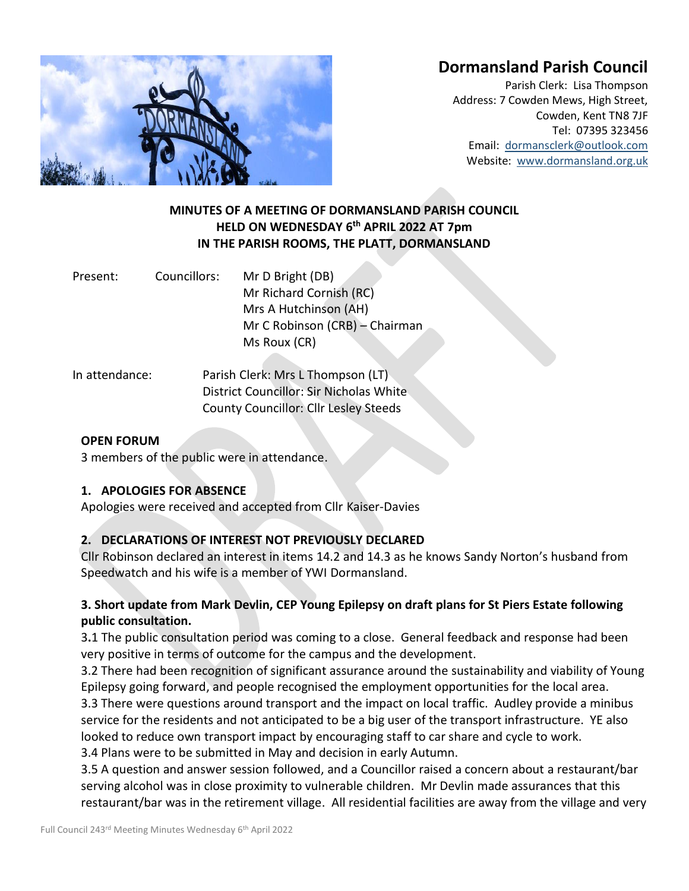# **Dormansland Parish Council**



Parish Clerk: Lisa Thompson Address: 7 Cowden Mews, High Street, Cowden, Kent TN8 7JF Tel: 07395 323456 Email: [dormansclerk@outlook.com](mailto:dormansclerk@outlook.com) Website: [www.dormansland.org.uk](http://www.dormansland.org.uk/)

# **MINUTES OF A MEETING OF DORMANSLAND PARISH COUNCIL HELD ON WEDNESDAY 6 th APRIL 2022 AT 7pm IN THE PARISH ROOMS, THE PLATT, DORMANSLAND**

| Present: | Councillors: | Mr D Bright (DB)               |  |
|----------|--------------|--------------------------------|--|
|          |              | Mr Richard Cornish (RC)        |  |
|          |              | Mrs A Hutchinson (AH)          |  |
|          |              | Mr C Robinson (CRB) – Chairman |  |
|          |              | Ms Roux (CR)                   |  |
|          |              |                                |  |

In attendance: Parish Clerk: Mrs L Thompson (LT) District Councillor: Sir Nicholas White County Councillor: Cllr Lesley Steeds

#### **OPEN FORUM**

3 members of the public were in attendance.

#### **1. APOLOGIES FOR ABSENCE**

Apologies were received and accepted from Cllr Kaiser-Davies

# **2. DECLARATIONS OF INTEREST NOT PREVIOUSLY DECLARED**

Cllr Robinson declared an interest in items 14.2 and 14.3 as he knows Sandy Norton's husband from Speedwatch and his wife is a member of YWI Dormansland.

# **3. Short update from Mark Devlin, CEP Young Epilepsy on draft plans for St Piers Estate following public consultation.**

3**.**1 The public consultation period was coming to a close. General feedback and response had been very positive in terms of outcome for the campus and the development.

3.2 There had been recognition of significant assurance around the sustainability and viability of Young Epilepsy going forward, and people recognised the employment opportunities for the local area. 3.3 There were questions around transport and the impact on local traffic. Audley provide a minibus service for the residents and not anticipated to be a big user of the transport infrastructure. YE also looked to reduce own transport impact by encouraging staff to car share and cycle to work. 3.4 Plans were to be submitted in May and decision in early Autumn.

3.5 A question and answer session followed, and a Councillor raised a concern about a restaurant/bar serving alcohol was in close proximity to vulnerable children. Mr Devlin made assurances that this restaurant/bar was in the retirement village. All residential facilities are away from the village and very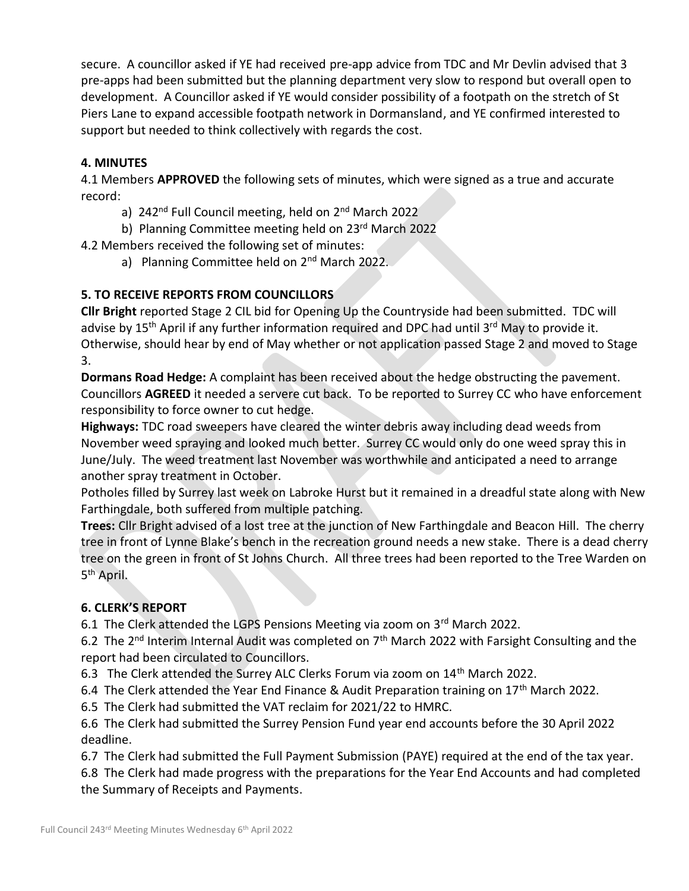secure. A councillor asked if YE had received pre-app advice from TDC and Mr Devlin advised that 3 pre-apps had been submitted but the planning department very slow to respond but overall open to development. A Councillor asked if YE would consider possibility of a footpath on the stretch of St Piers Lane to expand accessible footpath network in Dormansland, and YE confirmed interested to support but needed to think collectively with regards the cost.

# **4. MINUTES**

4.1 Members **APPROVED** the following sets of minutes, which were signed as a true and accurate record:

- a) 242<sup>nd</sup> Full Council meeting, held on 2<sup>nd</sup> March 2022
- b) Planning Committee meeting held on 23rd March 2022

4.2 Members received the following set of minutes:

a) Planning Committee held on 2<sup>nd</sup> March 2022.

# **5. TO RECEIVE REPORTS FROM COUNCILLORS**

**Cllr Bright** reported Stage 2 CIL bid for Opening Up the Countryside had been submitted. TDC will advise by 15<sup>th</sup> April if any further information required and DPC had until 3<sup>rd</sup> May to provide it. Otherwise, should hear by end of May whether or not application passed Stage 2 and moved to Stage 3.

**Dormans Road Hedge:** A complaint has been received about the hedge obstructing the pavement. Councillors **AGREED** it needed a servere cut back. To be reported to Surrey CC who have enforcement responsibility to force owner to cut hedge.

**Highways:** TDC road sweepers have cleared the winter debris away including dead weeds from November weed spraying and looked much better. Surrey CC would only do one weed spray this in June/July. The weed treatment last November was worthwhile and anticipated a need to arrange another spray treatment in October.

Potholes filled by Surrey last week on Labroke Hurst but it remained in a dreadful state along with New Farthingdale, both suffered from multiple patching.

**Trees:** Cllr Bright advised of a lost tree at the junction of New Farthingdale and Beacon Hill. The cherry tree in front of Lynne Blake's bench in the recreation ground needs a new stake. There is a dead cherry tree on the green in front of St Johns Church. All three trees had been reported to the Tree Warden on 5<sup>th</sup> April.

# **6. CLERK'S REPORT**

6.1 The Clerk attended the LGPS Pensions Meeting via zoom on 3rd March 2022.

6.2 The 2<sup>nd</sup> Interim Internal Audit was completed on  $7<sup>th</sup>$  March 2022 with Farsight Consulting and the report had been circulated to Councillors.

6.3 The Clerk attended the Surrey ALC Clerks Forum via zoom on 14<sup>th</sup> March 2022.

6.4 The Clerk attended the Year End Finance & Audit Preparation training on  $17<sup>th</sup>$  March 2022.

6.5 The Clerk had submitted the VAT reclaim for 2021/22 to HMRC.

6.6 The Clerk had submitted the Surrey Pension Fund year end accounts before the 30 April 2022 deadline.

6.7 The Clerk had submitted the Full Payment Submission (PAYE) required at the end of the tax year.

6.8 The Clerk had made progress with the preparations for the Year End Accounts and had completed the Summary of Receipts and Payments.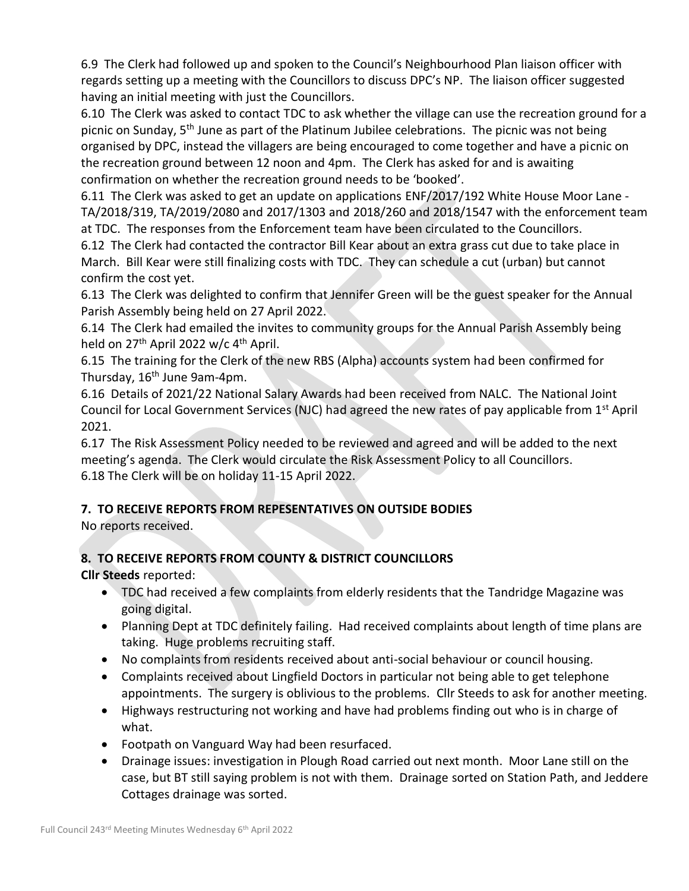6.9 The Clerk had followed up and spoken to the Council's Neighbourhood Plan liaison officer with regards setting up a meeting with the Councillors to discuss DPC's NP. The liaison officer suggested having an initial meeting with just the Councillors.

6.10 The Clerk was asked to contact TDC to ask whether the village can use the recreation ground for a picnic on Sunday, 5<sup>th</sup> June as part of the Platinum Jubilee celebrations. The picnic was not being organised by DPC, instead the villagers are being encouraged to come together and have a picnic on the recreation ground between 12 noon and 4pm. The Clerk has asked for and is awaiting confirmation on whether the recreation ground needs to be 'booked'.

6.11 The Clerk was asked to get an update on applications ENF/2017/192 White House Moor Lane - TA/2018/319, TA/2019/2080 and 2017/1303 and 2018/260 and 2018/1547 with the enforcement team at TDC. The responses from the Enforcement team have been circulated to the Councillors.

6.12 The Clerk had contacted the contractor Bill Kear about an extra grass cut due to take place in March. Bill Kear were still finalizing costs with TDC. They can schedule a cut (urban) but cannot confirm the cost yet.

6.13 The Clerk was delighted to confirm that Jennifer Green will be the guest speaker for the Annual Parish Assembly being held on 27 April 2022.

6.14 The Clerk had emailed the invites to community groups for the Annual Parish Assembly being held on 27<sup>th</sup> April 2022 w/c 4<sup>th</sup> April.

6.15 The training for the Clerk of the new RBS (Alpha) accounts system had been confirmed for Thursday, 16<sup>th</sup> June 9am-4pm.

6.16 Details of 2021/22 National Salary Awards had been received from NALC. The National Joint Council for Local Government Services (NJC) had agreed the new rates of pay applicable from 1st April 2021.

6.17 The Risk Assessment Policy needed to be reviewed and agreed and will be added to the next meeting's agenda. The Clerk would circulate the Risk Assessment Policy to all Councillors. 6.18 The Clerk will be on holiday 11-15 April 2022.

# **7. TO RECEIVE REPORTS FROM REPESENTATIVES ON OUTSIDE BODIES**

No reports received.

# **8. TO RECEIVE REPORTS FROM COUNTY & DISTRICT COUNCILLORS**

**Cllr Steeds** reported:

- TDC had received a few complaints from elderly residents that the Tandridge Magazine was going digital.
- Planning Dept at TDC definitely failing. Had received complaints about length of time plans are taking. Huge problems recruiting staff.
- No complaints from residents received about anti-social behaviour or council housing.
- Complaints received about Lingfield Doctors in particular not being able to get telephone appointments. The surgery is oblivious to the problems. Cllr Steeds to ask for another meeting.
- Highways restructuring not working and have had problems finding out who is in charge of what.
- Footpath on Vanguard Way had been resurfaced.
- Drainage issues: investigation in Plough Road carried out next month. Moor Lane still on the case, but BT still saying problem is not with them. Drainage sorted on Station Path, and Jeddere Cottages drainage was sorted.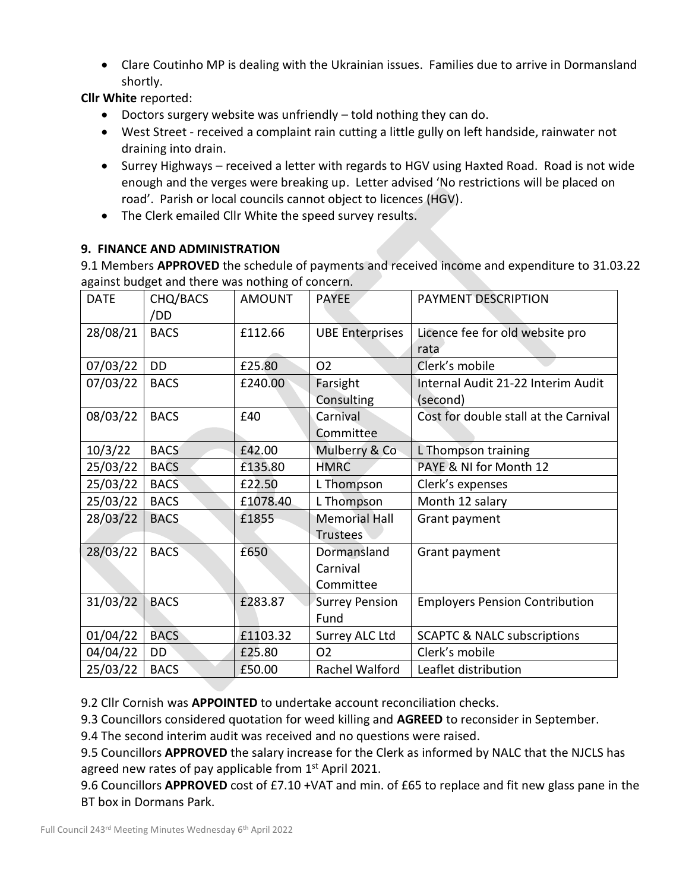• Clare Coutinho MP is dealing with the Ukrainian issues. Families due to arrive in Dormansland shortly.

**Cllr White** reported:

- Doctors surgery website was unfriendly told nothing they can do.
- West Street received a complaint rain cutting a little gully on left handside, rainwater not draining into drain.
- Surrey Highways received a letter with regards to HGV using Haxted Road. Road is not wide enough and the verges were breaking up. Letter advised 'No restrictions will be placed on road'. Parish or local councils cannot object to licences (HGV).
- The Clerk emailed Cllr White the speed survey results.

# **9. FINANCE AND ADMINISTRATION**

9.1 Members **APPROVED** the schedule of payments and received income and expenditure to 31.03.22 against budget and there was nothing of concern.

| <b>DATE</b> | CHQ/BACS    | <b>AMOUNT</b> | <b>PAYEE</b>           | PAYMENT DESCRIPTION                    |
|-------------|-------------|---------------|------------------------|----------------------------------------|
|             | /DD         |               |                        |                                        |
| 28/08/21    | <b>BACS</b> | £112.66       | <b>UBE Enterprises</b> | Licence fee for old website pro        |
|             |             |               |                        | rata                                   |
| 07/03/22    | <b>DD</b>   | £25.80        | O <sub>2</sub>         | Clerk's mobile                         |
| 07/03/22    | <b>BACS</b> | £240.00       | Farsight               | Internal Audit 21-22 Interim Audit     |
|             |             |               | Consulting             | (second)                               |
| 08/03/22    | <b>BACS</b> | £40           | Carnival               | Cost for double stall at the Carnival  |
|             |             |               | Committee              |                                        |
| 10/3/22     | <b>BACS</b> | £42.00        | Mulberry & Co          | L Thompson training                    |
| 25/03/22    | <b>BACS</b> | £135.80       | <b>HMRC</b>            | PAYE & NI for Month 12                 |
| 25/03/22    | <b>BACS</b> | £22.50        | L Thompson             | Clerk's expenses                       |
| 25/03/22    | <b>BACS</b> | £1078.40      | L Thompson             | Month 12 salary                        |
| 28/03/22    | <b>BACS</b> | £1855         | <b>Memorial Hall</b>   | Grant payment                          |
|             |             |               | <b>Trustees</b>        |                                        |
| 28/03/22    | <b>BACS</b> | £650          | Dormansland            | Grant payment                          |
|             |             |               | Carnival               |                                        |
|             |             |               | Committee              |                                        |
| 31/03/22    | <b>BACS</b> | £283.87       | <b>Surrey Pension</b>  | <b>Employers Pension Contribution</b>  |
|             |             |               | Fund                   |                                        |
| 01/04/22    | <b>BACS</b> | £1103.32      | Surrey ALC Ltd         | <b>SCAPTC &amp; NALC subscriptions</b> |
| 04/04/22    | DD          | £25.80        | O <sub>2</sub>         | Clerk's mobile                         |
| 25/03/22    | <b>BACS</b> | £50.00        | Rachel Walford         | Leaflet distribution                   |

9.2 Cllr Cornish was **APPOINTED** to undertake account reconciliation checks.

9.3 Councillors considered quotation for weed killing and **AGREED** to reconsider in September.

9.4 The second interim audit was received and no questions were raised.

9.5 Councillors **APPROVED** the salary increase for the Clerk as informed by NALC that the NJCLS has agreed new rates of pay applicable from 1st April 2021.

9.6 Councillors **APPROVED** cost of £7.10 +VAT and min. of £65 to replace and fit new glass pane in the BT box in Dormans Park.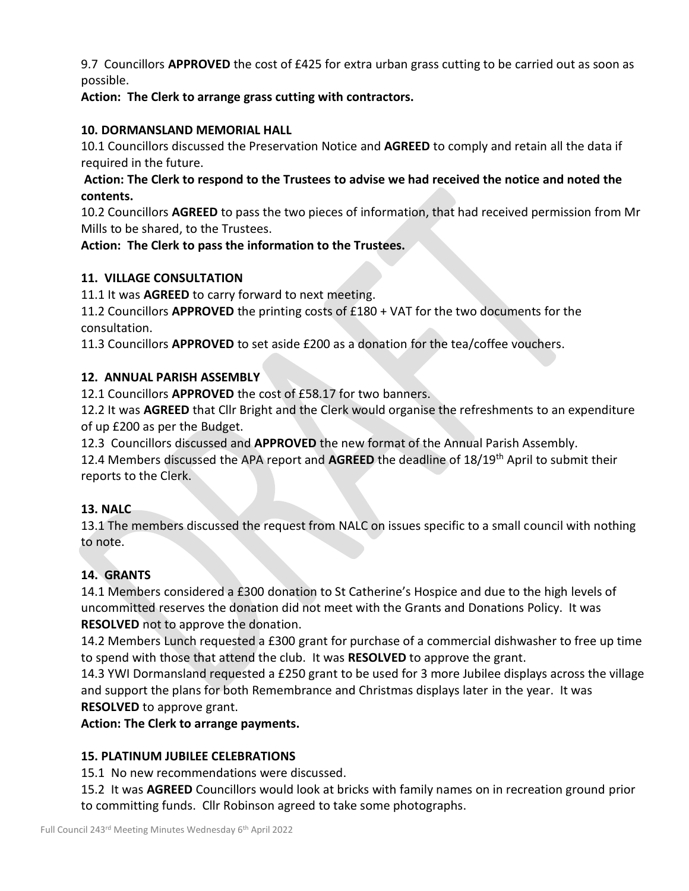9.7 Councillors **APPROVED** the cost of £425 for extra urban grass cutting to be carried out as soon as possible.

**Action: The Clerk to arrange grass cutting with contractors.**

### **10. DORMANSLAND MEMORIAL HALL**

10.1 Councillors discussed the Preservation Notice and **AGREED** to comply and retain all the data if required in the future.

**Action: The Clerk to respond to the Trustees to advise we had received the notice and noted the contents.**

10.2 Councillors **AGREED** to pass the two pieces of information, that had received permission from Mr Mills to be shared, to the Trustees.

#### **Action: The Clerk to pass the information to the Trustees.**

#### **11. VILLAGE CONSULTATION**

11.1 It was **AGREED** to carry forward to next meeting.

11.2 Councillors **APPROVED** the printing costs of £180 + VAT for the two documents for the consultation.

11.3 Councillors **APPROVED** to set aside £200 as a donation for the tea/coffee vouchers.

#### **12. ANNUAL PARISH ASSEMBLY**

12.1 Councillors **APPROVED** the cost of £58.17 for two banners.

12.2 It was **AGREED** that Cllr Bright and the Clerk would organise the refreshments to an expenditure of up £200 as per the Budget.

12.3 Councillors discussed and **APPROVED** the new format of the Annual Parish Assembly.

12.4 Members discussed the APA report and **AGREED** the deadline of 18/19th April to submit their reports to the Clerk.

#### **13. NALC**

13.1 The members discussed the request from NALC on issues specific to a small council with nothing to note.

# **14. GRANTS**

14.1 Members considered a £300 donation to St Catherine's Hospice and due to the high levels of uncommitted reserves the donation did not meet with the Grants and Donations Policy. It was **RESOLVED** not to approve the donation.

14.2 Members Lunch requested a £300 grant for purchase of a commercial dishwasher to free up time to spend with those that attend the club. It was **RESOLVED** to approve the grant.

14.3 YWI Dormansland requested a £250 grant to be used for 3 more Jubilee displays across the village and support the plans for both Remembrance and Christmas displays later in the year. It was **RESOLVED** to approve grant.

**Action: The Clerk to arrange payments.**

# **15. PLATINUM JUBILEE CELEBRATIONS**

15.1 No new recommendations were discussed.

15.2 It was **AGREED** Councillors would look at bricks with family names on in recreation ground prior to committing funds. Cllr Robinson agreed to take some photographs.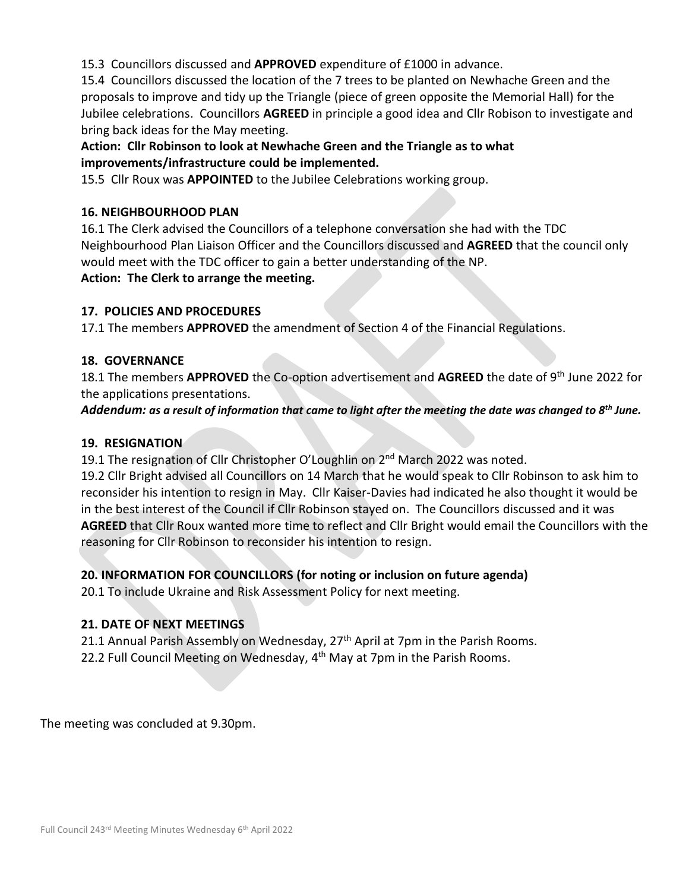15.3 Councillors discussed and **APPROVED** expenditure of £1000 in advance.

15.4 Councillors discussed the location of the 7 trees to be planted on Newhache Green and the proposals to improve and tidy up the Triangle (piece of green opposite the Memorial Hall) for the Jubilee celebrations. Councillors **AGREED** in principle a good idea and Cllr Robison to investigate and bring back ideas for the May meeting.

# **Action: Cllr Robinson to look at Newhache Green and the Triangle as to what improvements/infrastructure could be implemented.**

15.5 Cllr Roux was **APPOINTED** to the Jubilee Celebrations working group.

### **16. NEIGHBOURHOOD PLAN**

16.1 The Clerk advised the Councillors of a telephone conversation she had with the TDC Neighbourhood Plan Liaison Officer and the Councillors discussed and **AGREED** that the council only would meet with the TDC officer to gain a better understanding of the NP. **Action: The Clerk to arrange the meeting.**

#### **17. POLICIES AND PROCEDURES**

17.1 The members **APPROVED** the amendment of Section 4 of the Financial Regulations.

#### **18. GOVERNANCE**

18.1 The members **APPROVED** the Co-option advertisement and **AGREED** the date of 9th June 2022 for the applications presentations.

*Addendum: as a result of information that came to light after the meeting the date was changed to 8th June.*

#### **19. RESIGNATION**

19.1 The resignation of Cllr Christopher O'Loughlin on 2<sup>nd</sup> March 2022 was noted.

19.2 Cllr Bright advised all Councillors on 14 March that he would speak to Cllr Robinson to ask him to reconsider his intention to resign in May. Cllr Kaiser-Davies had indicated he also thought it would be in the best interest of the Council if Cllr Robinson stayed on. The Councillors discussed and it was **AGREED** that Cllr Roux wanted more time to reflect and Cllr Bright would email the Councillors with the reasoning for Cllr Robinson to reconsider his intention to resign.

# **20. INFORMATION FOR COUNCILLORS (for noting or inclusion on future agenda)**

20.1 To include Ukraine and Risk Assessment Policy for next meeting.

#### **21. DATE OF NEXT MEETINGS**

21.1 Annual Parish Assembly on Wednesday, 27<sup>th</sup> April at 7pm in the Parish Rooms. 22.2 Full Council Meeting on Wednesday, 4<sup>th</sup> May at 7pm in the Parish Rooms.

The meeting was concluded at 9.30pm.